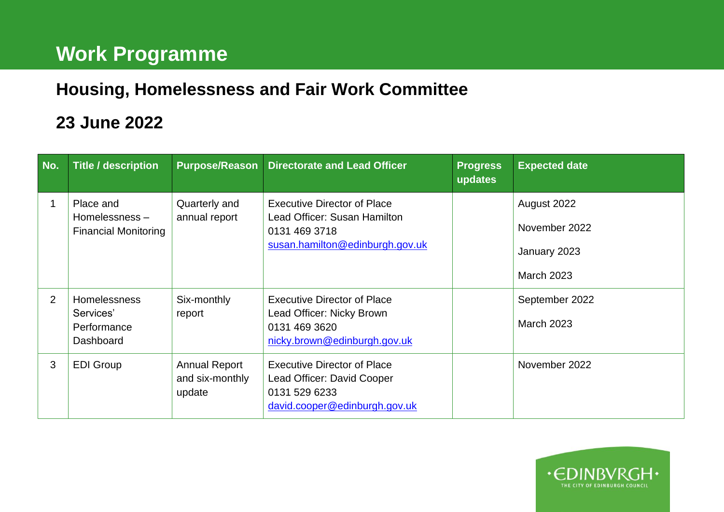## **Work Programme**

## **Housing, Homelessness and Fair Work Committee**

## **23 June 2022**

| No. | <b>Title / description</b>                                | <b>Purpose/Reason</b>                             | <b>Directorate and Lead Officer</b>                                                                                    | <b>Progress</b><br>updates | <b>Expected date</b>                                              |
|-----|-----------------------------------------------------------|---------------------------------------------------|------------------------------------------------------------------------------------------------------------------------|----------------------------|-------------------------------------------------------------------|
|     | Place and<br>Homelessness-<br><b>Financial Monitoring</b> | Quarterly and<br>annual report                    | <b>Executive Director of Place</b><br>Lead Officer: Susan Hamilton<br>0131 469 3718<br>susan.hamilton@edinburgh.gov.uk |                            | August 2022<br>November 2022<br>January 2023<br><b>March 2023</b> |
| 2   | Homelessness<br>Services'<br>Performance<br>Dashboard     | Six-monthly<br>report                             | <b>Executive Director of Place</b><br>Lead Officer: Nicky Brown<br>0131 469 3620<br>nicky.brown@edinburgh.gov.uk       |                            | September 2022<br><b>March 2023</b>                               |
| 3   | <b>EDI Group</b>                                          | <b>Annual Report</b><br>and six-monthly<br>update | <b>Executive Director of Place</b><br>Lead Officer: David Cooper<br>0131 529 6233<br>david.cooper@edinburgh.gov.uk     |                            | November 2022                                                     |

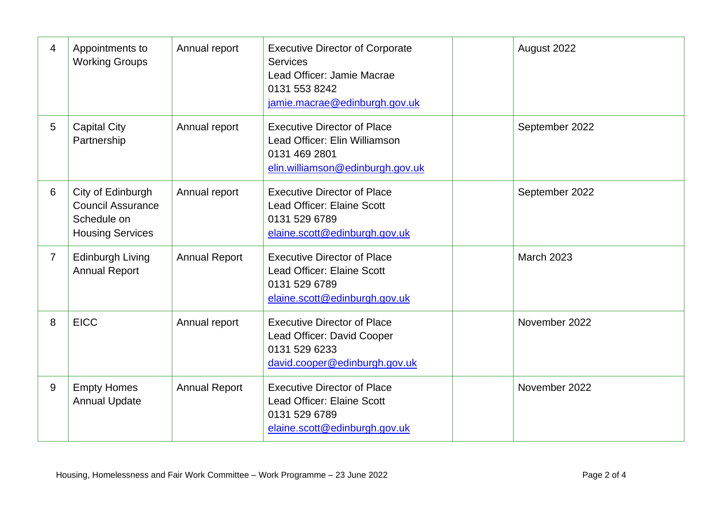| 4              | Appointments to<br><b>Working Groups</b>                                                | Annual report        | <b>Executive Director of Corporate</b><br><b>Services</b><br>Lead Officer: Jamie Macrae<br>0131 553 8242<br>jamie.macrae@edinburgh.gov.uk | August 2022       |
|----------------|-----------------------------------------------------------------------------------------|----------------------|-------------------------------------------------------------------------------------------------------------------------------------------|-------------------|
| 5              | <b>Capital City</b><br>Partnership                                                      | Annual report        | <b>Executive Director of Place</b><br>Lead Officer: Elin Williamson<br>0131 469 2801<br>elin.williamson@edinburgh.gov.uk                  | September 2022    |
| 6              | City of Edinburgh<br><b>Council Assurance</b><br>Schedule on<br><b>Housing Services</b> | Annual report        | <b>Executive Director of Place</b><br>Lead Officer: Elaine Scott<br>0131 529 6789<br>elaine.scott@edinburgh.gov.uk                        | September 2022    |
| $\overline{7}$ | <b>Edinburgh Living</b><br><b>Annual Report</b>                                         | <b>Annual Report</b> | <b>Executive Director of Place</b><br>Lead Officer: Elaine Scott<br>0131 529 6789<br>elaine.scott@edinburgh.gov.uk                        | <b>March 2023</b> |
| 8              | <b>EICC</b>                                                                             | Annual report        | <b>Executive Director of Place</b><br>Lead Officer: David Cooper<br>0131 529 6233<br>david.cooper@edinburgh.gov.uk                        | November 2022     |
| 9              | <b>Empty Homes</b><br><b>Annual Update</b>                                              | <b>Annual Report</b> | <b>Executive Director of Place</b><br>Lead Officer: Elaine Scott<br>0131 529 6789<br>elaine.scott@edinburgh.gov.uk                        | November 2022     |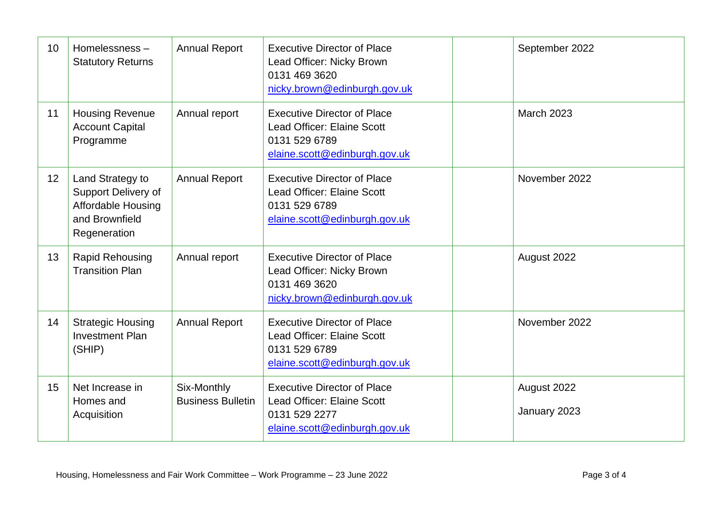| 10              | Homelessness-<br><b>Statutory Returns</b>                                                              | <b>Annual Report</b>                    | <b>Executive Director of Place</b><br>Lead Officer: Nicky Brown<br>0131 469 3620<br>nicky.brown@edinburgh.gov.uk   | September 2022              |
|-----------------|--------------------------------------------------------------------------------------------------------|-----------------------------------------|--------------------------------------------------------------------------------------------------------------------|-----------------------------|
| 11              | <b>Housing Revenue</b><br><b>Account Capital</b><br>Programme                                          | Annual report                           | <b>Executive Director of Place</b><br>Lead Officer: Elaine Scott<br>0131 529 6789<br>elaine.scott@edinburgh.gov.uk | <b>March 2023</b>           |
| 12 <sub>2</sub> | Land Strategy to<br>Support Delivery of<br><b>Affordable Housing</b><br>and Brownfield<br>Regeneration | <b>Annual Report</b>                    | <b>Executive Director of Place</b><br>Lead Officer: Elaine Scott<br>0131 529 6789<br>elaine.scott@edinburgh.gov.uk | November 2022               |
| 13              | <b>Rapid Rehousing</b><br><b>Transition Plan</b>                                                       | Annual report                           | <b>Executive Director of Place</b><br>Lead Officer: Nicky Brown<br>0131 469 3620<br>nicky.brown@edinburgh.gov.uk   | August 2022                 |
| 14              | <b>Strategic Housing</b><br><b>Investment Plan</b><br>(SHIP)                                           | <b>Annual Report</b>                    | <b>Executive Director of Place</b><br>Lead Officer: Elaine Scott<br>0131 529 6789<br>elaine.scott@edinburgh.gov.uk | November 2022               |
| 15              | Net Increase in<br>Homes and<br>Acquisition                                                            | Six-Monthly<br><b>Business Bulletin</b> | <b>Executive Director of Place</b><br>Lead Officer: Elaine Scott<br>0131 529 2277<br>elaine.scott@edinburgh.gov.uk | August 2022<br>January 2023 |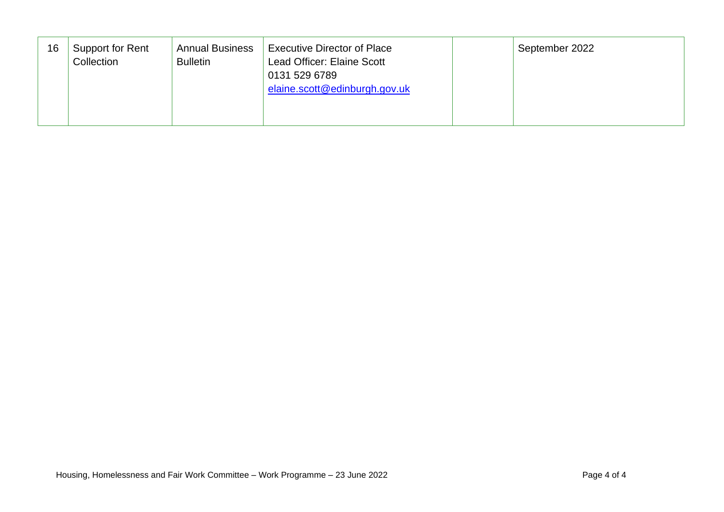| 16 | Support for Rent<br>Collection | <b>Annual Business</b><br><b>Bulletin</b> | <b>Executive Director of Place</b><br>Lead Officer: Elaine Scott<br>0131 529 6789<br>elaine.scott@edinburgh.gov.uk | September 2022 |
|----|--------------------------------|-------------------------------------------|--------------------------------------------------------------------------------------------------------------------|----------------|
|----|--------------------------------|-------------------------------------------|--------------------------------------------------------------------------------------------------------------------|----------------|